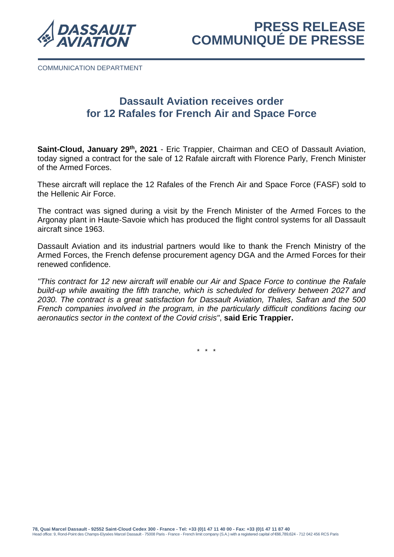

COMMUNICATION DEPARTMENT

# **Dassault Aviation receives order for 12 Rafales for French Air and Space Force**

**Saint-Cloud, January 29th , 2021** - Eric Trappier, Chairman and CEO of Dassault Aviation, today signed a contract for the sale of 12 Rafale aircraft with Florence Parly, French Minister of the Armed Forces.

These aircraft will replace the 12 Rafales of the French Air and Space Force (FASF) sold to the Hellenic Air Force.

The contract was signed during a visit by the French Minister of the Armed Forces to the Argonay plant in Haute-Savoie which has produced the flight control systems for all Dassault aircraft since 1963.

Dassault Aviation and its industrial partners would like to thank the French Ministry of the Armed Forces, the French defense procurement agency DGA and the Armed Forces for their renewed confidence.

*"This contract for 12 new aircraft will enable our Air and Space Force to continue the Rafale build-up while awaiting the fifth tranche, which is scheduled for delivery between 2027 and 2030. The contract is a great satisfaction for Dassault Aviation, Thales, Safran and the 500 French companies involved in the program, in the particularly difficult conditions facing our aeronautics sector in the context of the Covid crisis"*, **said Eric Trappier.**

\* \* \*